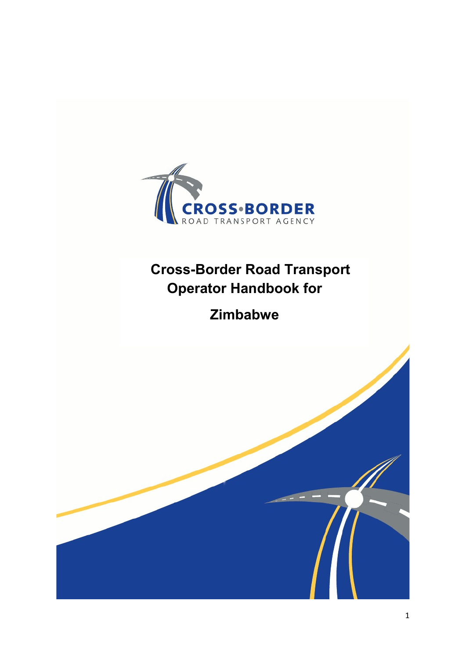

# Cross-Border Road Transport Operator Handbook for

# Zimbabwe

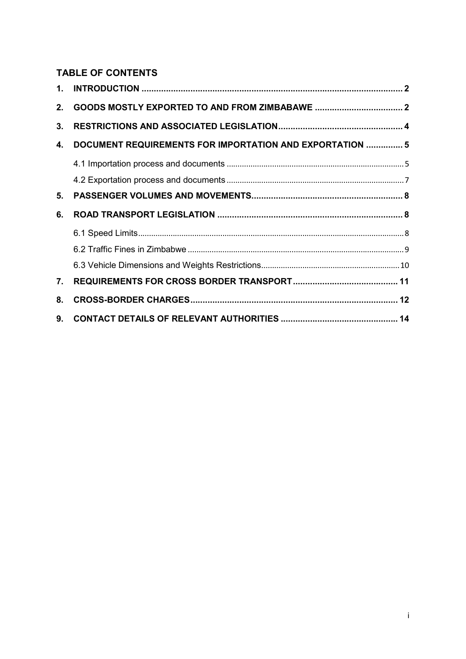# TABLE OF CONTENTS

| 1. |                                                          |  |
|----|----------------------------------------------------------|--|
| 2. |                                                          |  |
| 3. |                                                          |  |
| 4. | DOCUMENT REQUIREMENTS FOR IMPORTATION AND EXPORTATION  5 |  |
|    |                                                          |  |
|    |                                                          |  |
| 5. |                                                          |  |
|    |                                                          |  |
| 6. |                                                          |  |
|    |                                                          |  |
|    |                                                          |  |
|    |                                                          |  |
| 7. |                                                          |  |
| 8. |                                                          |  |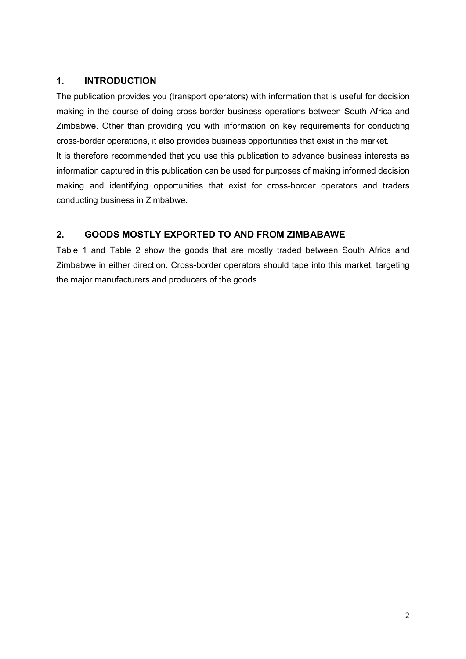# 1. INTRODUCTION

The publication provides you (transport operators) with information that is useful for decision making in the course of doing cross-border business operations between South Africa and Zimbabwe. Other than providing you with information on key requirements for conducting cross-border operations, it also provides business opportunities that exist in the market.

It is therefore recommended that you use this publication to advance business interests as information captured in this publication can be used for purposes of making informed decision making and identifying opportunities that exist for cross-border operators and traders conducting business in Zimbabwe.

## 2. GOODS MOSTLY EXPORTED TO AND FROM ZIMBABAWE

Table 1 and Table 2 show the goods that are mostly traded between South Africa and Zimbabwe in either direction. Cross-border operators should tape into this market, targeting the major manufacturers and producers of the goods.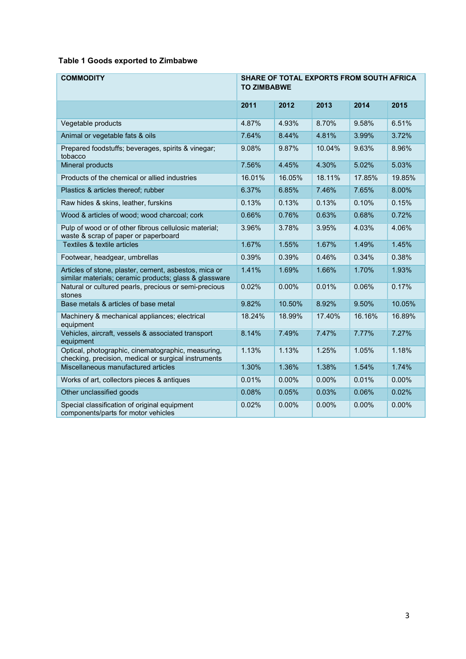## Table 1 Goods exported to Zimbabwe

| <b>COMMODITY</b>                                                                                                | SHARE OF TOTAL EXPORTS FROM SOUTH AFRICA<br><b>TO ZIMBABWE</b> |        |        |        |          |
|-----------------------------------------------------------------------------------------------------------------|----------------------------------------------------------------|--------|--------|--------|----------|
|                                                                                                                 | 2011                                                           | 2012   | 2013   | 2014   | 2015     |
| Vegetable products                                                                                              | 4.87%                                                          | 4.93%  | 8.70%  | 9.58%  | 6.51%    |
| Animal or vegetable fats & oils                                                                                 | 7.64%                                                          | 8.44%  | 4.81%  | 3.99%  | 3.72%    |
| Prepared foodstuffs; beverages, spirits & vinegar;<br>tobacco                                                   | 9.08%                                                          | 9.87%  | 10.04% | 9.63%  | 8.96%    |
| Mineral products                                                                                                | 7.56%                                                          | 4.45%  | 4.30%  | 5.02%  | 5.03%    |
| Products of the chemical or allied industries                                                                   | 16.01%                                                         | 16.05% | 18.11% | 17.85% | 19.85%   |
| Plastics & articles thereof; rubber                                                                             | 6.37%                                                          | 6.85%  | 7.46%  | 7.65%  | 8.00%    |
| Raw hides & skins, leather, furskins                                                                            | 0.13%                                                          | 0.13%  | 0.13%  | 0.10%  | 0.15%    |
| Wood & articles of wood; wood charcoal; cork                                                                    | 0.66%                                                          | 0.76%  | 0.63%  | 0.68%  | 0.72%    |
| Pulp of wood or of other fibrous cellulosic material;<br>waste & scrap of paper or paperboard                   | 3.96%                                                          | 3.78%  | 3.95%  | 4.03%  | 4.06%    |
| Textiles & textile articles                                                                                     | 1.67%                                                          | 1.55%  | 1.67%  | 1.49%  | 1.45%    |
| Footwear, headgear, umbrellas                                                                                   | 0.39%                                                          | 0.39%  | 0.46%  | 0.34%  | 0.38%    |
| Articles of stone, plaster, cement, asbestos, mica or<br>similar materials; ceramic products; glass & glassware | 1.41%                                                          | 1.69%  | 1.66%  | 1.70%  | 1.93%    |
| Natural or cultured pearls, precious or semi-precious<br>stones                                                 | 0.02%                                                          | 0.00%  | 0.01%  | 0.06%  | 0.17%    |
| Base metals & articles of base metal                                                                            | 9.82%                                                          | 10.50% | 8.92%  | 9.50%  | 10.05%   |
| Machinery & mechanical appliances; electrical<br>equipment                                                      | 18.24%                                                         | 18.99% | 17.40% | 16.16% | 16.89%   |
| Vehicles, aircraft, vessels & associated transport<br>equipment                                                 | 8.14%                                                          | 7.49%  | 7.47%  | 7.77%  | 7.27%    |
| Optical, photographic, cinematographic, measuring,<br>checking, precision, medical or surgical instruments      | 1.13%                                                          | 1.13%  | 1.25%  | 1.05%  | 1.18%    |
| Miscellaneous manufactured articles                                                                             | 1.30%                                                          | 1.36%  | 1.38%  | 1.54%  | 1.74%    |
| Works of art, collectors pieces & antiques                                                                      | 0.01%                                                          | 0.00%  | 0.00%  | 0.01%  | $0.00\%$ |
| Other unclassified goods                                                                                        | 0.08%                                                          | 0.05%  | 0.03%  | 0.06%  | 0.02%    |
| Special classification of original equipment<br>components/parts for motor vehicles                             | 0.02%                                                          | 0.00%  | 0.00%  | 0.00%  | 0.00%    |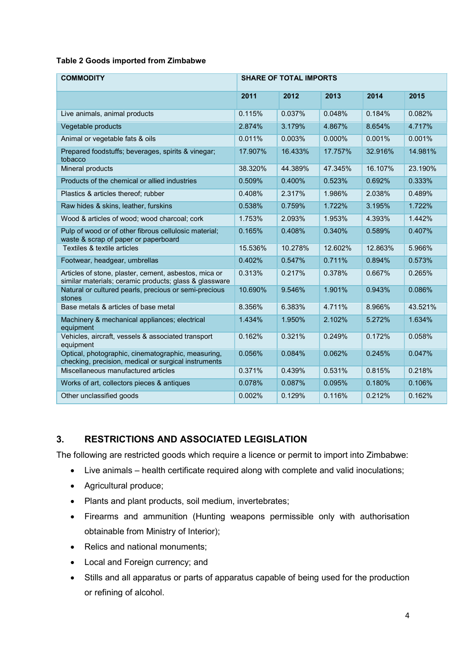#### Table 2 Goods imported from Zimbabwe

| <b>COMMODITY</b>                                                                                                | <b>SHARE OF TOTAL IMPORTS</b> |         |           |         |         |
|-----------------------------------------------------------------------------------------------------------------|-------------------------------|---------|-----------|---------|---------|
|                                                                                                                 | 2011                          | 2012    | 2013      | 2014    | 2015    |
| Live animals, animal products                                                                                   | 0.115%                        | 0.037%  | 0.048%    | 0.184%  | 0.082%  |
| Vegetable products                                                                                              | 2.874%                        | 3.179%  | 4.867%    | 8.654%  | 4.717%  |
| Animal or vegetable fats & oils                                                                                 | 0.011%                        | 0.003%  | $0.000\%$ | 0.001%  | 0.001%  |
| Prepared foodstuffs; beverages, spirits & vinegar;<br>tobacco                                                   | 17.907%                       | 16.433% | 17.757%   | 32.916% | 14.981% |
| Mineral products                                                                                                | 38.320%                       | 44.389% | 47.345%   | 16.107% | 23.190% |
| Products of the chemical or allied industries                                                                   | 0.509%                        | 0.400%  | 0.523%    | 0.692%  | 0.333%  |
| Plastics & articles thereof; rubber                                                                             | 0.408%                        | 2.317%  | 1.986%    | 2.038%  | 0.489%  |
| Raw hides & skins, leather, furskins                                                                            | 0.538%                        | 0.759%  | 1.722%    | 3.195%  | 1.722%  |
| Wood & articles of wood; wood charcoal; cork                                                                    | 1.753%                        | 2.093%  | 1.953%    | 4.393%  | 1.442%  |
| Pulp of wood or of other fibrous cellulosic material;<br>waste & scrap of paper or paperboard                   | 0.165%                        | 0.408%  | 0.340%    | 0.589%  | 0.407%  |
| Textiles & textile articles                                                                                     | 15.536%                       | 10.278% | 12.602%   | 12.863% | 5.966%  |
| Footwear, headgear, umbrellas                                                                                   | 0.402%                        | 0.547%  | 0.711%    | 0.894%  | 0.573%  |
| Articles of stone, plaster, cement, asbestos, mica or<br>similar materials; ceramic products; glass & glassware | 0.313%                        | 0.217%  | 0.378%    | 0.667%  | 0.265%  |
| Natural or cultured pearls, precious or semi-precious<br>stones                                                 | 10.690%                       | 9.546%  | 1.901%    | 0.943%  | 0.086%  |
| Base metals & articles of base metal                                                                            | 8.356%                        | 6.383%  | 4.711%    | 8.966%  | 43.521% |
| Machinery & mechanical appliances; electrical<br>equipment                                                      | 1.434%                        | 1.950%  | 2.102%    | 5.272%  | 1.634%  |
| Vehicles, aircraft, vessels & associated transport<br>equipment                                                 | 0.162%                        | 0.321%  | 0.249%    | 0.172%  | 0.058%  |
| Optical, photographic, cinematographic, measuring,<br>checking, precision, medical or surgical instruments      | 0.056%                        | 0.084%  | 0.062%    | 0.245%  | 0.047%  |
| Miscellaneous manufactured articles                                                                             | 0.371%                        | 0.439%  | 0.531%    | 0.815%  | 0.218%  |
| Works of art, collectors pieces & antiques                                                                      | 0.078%                        | 0.087%  | 0.095%    | 0.180%  | 0.106%  |
| Other unclassified goods                                                                                        | 0.002%                        | 0.129%  | 0.116%    | 0.212%  | 0.162%  |

# 3. RESTRICTIONS AND ASSOCIATED LEGISLATION

The following are restricted goods which require a licence or permit to import into Zimbabwe:

- Live animals health certificate required along with complete and valid inoculations;
- Agricultural produce;
- Plants and plant products, soil medium, invertebrates;
- Firearms and ammunition (Hunting weapons permissible only with authorisation obtainable from Ministry of Interior);
- Relics and national monuments;
- Local and Foreign currency; and
- Stills and all apparatus or parts of apparatus capable of being used for the production or refining of alcohol.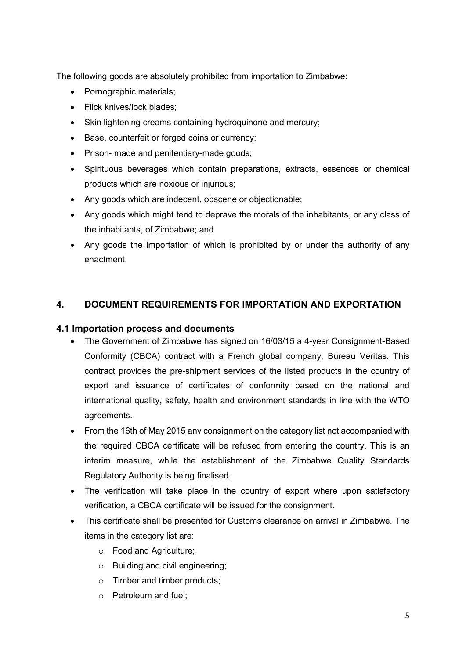The following goods are absolutely prohibited from importation to Zimbabwe:

- Pornographic materials:
- Flick knives/lock blades;
- Skin lightening creams containing hydroquinone and mercury;
- Base, counterfeit or forged coins or currency;
- Prison- made and penitentiary-made goods;
- Spirituous beverages which contain preparations, extracts, essences or chemical products which are noxious or injurious;
- Any goods which are indecent, obscene or objectionable;
- Any goods which might tend to deprave the morals of the inhabitants, or any class of the inhabitants, of Zimbabwe; and
- Any goods the importation of which is prohibited by or under the authority of any enactment.

## 4. DOCUMENT REQUIREMENTS FOR IMPORTATION AND EXPORTATION

## 4.1 Importation process and documents

- The Government of Zimbabwe has signed on 16/03/15 a 4-year Consignment-Based Conformity (CBCA) contract with a French global company, Bureau Veritas. This contract provides the pre-shipment services of the listed products in the country of export and issuance of certificates of conformity based on the national and international quality, safety, health and environment standards in line with the WTO agreements.
- From the 16th of May 2015 any consignment on the category list not accompanied with the required CBCA certificate will be refused from entering the country. This is an interim measure, while the establishment of the Zimbabwe Quality Standards Regulatory Authority is being finalised.
- The verification will take place in the country of export where upon satisfactory verification, a CBCA certificate will be issued for the consignment.
- This certificate shall be presented for Customs clearance on arrival in Zimbabwe. The items in the category list are:
	- o Food and Agriculture;
	- o Building and civil engineering;
	- o Timber and timber products;
	- o Petroleum and fuel;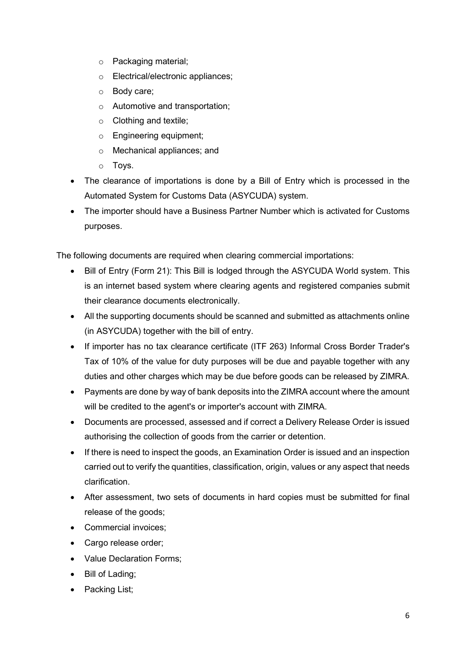- o Packaging material;
- o Electrical/electronic appliances;
- o Body care;
- o Automotive and transportation;
- o Clothing and textile;
- o Engineering equipment;
- o Mechanical appliances; and
- o Toys.
- The clearance of importations is done by a Bill of Entry which is processed in the Automated System for Customs Data (ASYCUDA) system.
- The importer should have a Business Partner Number which is activated for Customs purposes.

The following documents are required when clearing commercial importations:

- Bill of Entry (Form 21): This Bill is lodged through the ASYCUDA World system. This is an internet based system where clearing agents and registered companies submit their clearance documents electronically.
- All the supporting documents should be scanned and submitted as attachments online (in ASYCUDA) together with the bill of entry.
- If importer has no tax clearance certificate (ITF 263) Informal Cross Border Trader's Tax of 10% of the value for duty purposes will be due and payable together with any duties and other charges which may be due before goods can be released by ZIMRA.
- Payments are done by way of bank deposits into the ZIMRA account where the amount will be credited to the agent's or importer's account with ZIMRA.
- Documents are processed, assessed and if correct a Delivery Release Order is issued authorising the collection of goods from the carrier or detention.
- If there is need to inspect the goods, an Examination Order is issued and an inspection carried out to verify the quantities, classification, origin, values or any aspect that needs clarification.
- After assessment, two sets of documents in hard copies must be submitted for final release of the goods;
- Commercial invoices:
- Cargo release order;
- Value Declaration Forms;
- Bill of Lading;
- Packing List: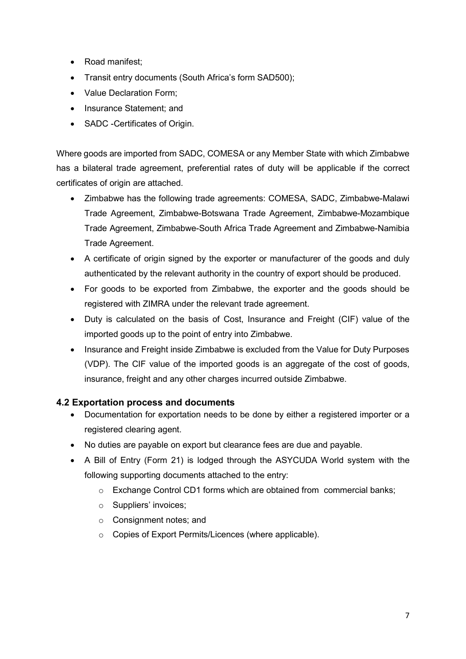- Road manifest;
- Transit entry documents (South Africa's form SAD500);
- Value Declaration Form:
- Insurance Statement; and
- SADC -Certificates of Origin.

Where goods are imported from SADC, COMESA or any Member State with which Zimbabwe has a bilateral trade agreement, preferential rates of duty will be applicable if the correct certificates of origin are attached.

- Zimbabwe has the following trade agreements: COMESA, SADC, Zimbabwe-Malawi Trade Agreement, Zimbabwe-Botswana Trade Agreement, Zimbabwe-Mozambique Trade Agreement, Zimbabwe-South Africa Trade Agreement and Zimbabwe-Namibia Trade Agreement.
- A certificate of origin signed by the exporter or manufacturer of the goods and duly authenticated by the relevant authority in the country of export should be produced.
- For goods to be exported from Zimbabwe, the exporter and the goods should be registered with ZIMRA under the relevant trade agreement.
- Duty is calculated on the basis of Cost, Insurance and Freight (CIF) value of the imported goods up to the point of entry into Zimbabwe.
- Insurance and Freight inside Zimbabwe is excluded from the Value for Duty Purposes (VDP). The CIF value of the imported goods is an aggregate of the cost of goods, insurance, freight and any other charges incurred outside Zimbabwe.

## 4.2 Exportation process and documents

- Documentation for exportation needs to be done by either a registered importer or a registered clearing agent.
- No duties are payable on export but clearance fees are due and payable.
- A Bill of Entry (Form 21) is lodged through the ASYCUDA World system with the following supporting documents attached to the entry:
	- $\circ$  Exchange Control CD1 forms which are obtained from commercial banks;
	- o Suppliers' invoices;
	- o Consignment notes; and
	- o Copies of Export Permits/Licences (where applicable).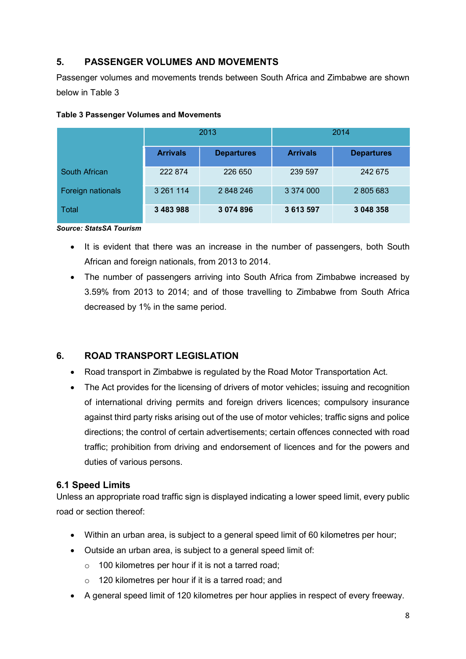# 5. PASSENGER VOLUMES AND MOVEMENTS

Passenger volumes and movements trends between South Africa and Zimbabwe are shown below in Table 3

|                   | 2013            |                   | 2014            |                   |  |
|-------------------|-----------------|-------------------|-----------------|-------------------|--|
|                   | <b>Arrivals</b> | <b>Departures</b> | <b>Arrivals</b> | <b>Departures</b> |  |
| South African     | 222 874         | 226 650           | 239 597         | 242 675           |  |
| Foreign nationals | 3 261 114       | 2848246           | 3 374 000       | 2 805 683         |  |
| <b>Total</b>      | 3 483 988       | 3 074 896         | 3 613 597       | 3 048 358         |  |

#### Table 3 Passenger Volumes and Movements

#### Source: StatsSA Tourism

- It is evident that there was an increase in the number of passengers, both South African and foreign nationals, from 2013 to 2014.
- The number of passengers arriving into South Africa from Zimbabwe increased by 3.59% from 2013 to 2014; and of those travelling to Zimbabwe from South Africa decreased by 1% in the same period.

## 6. ROAD TRANSPORT LEGISLATION

- Road transport in Zimbabwe is regulated by the Road Motor Transportation Act.
- The Act provides for the licensing of drivers of motor vehicles; issuing and recognition of international driving permits and foreign drivers licences; compulsory insurance against third party risks arising out of the use of motor vehicles; traffic signs and police directions; the control of certain advertisements; certain offences connected with road traffic; prohibition from driving and endorsement of licences and for the powers and duties of various persons.

## 6.1 Speed Limits

Unless an appropriate road traffic sign is displayed indicating a lower speed limit, every public road or section thereof:

- Within an urban area, is subject to a general speed limit of 60 kilometres per hour;
- Outside an urban area, is subject to a general speed limit of:
	- o 100 kilometres per hour if it is not a tarred road;
	- o 120 kilometres per hour if it is a tarred road; and
- A general speed limit of 120 kilometres per hour applies in respect of every freeway.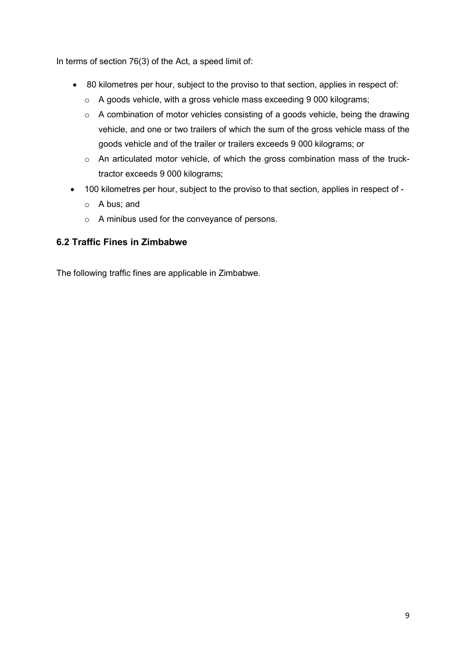In terms of section 76(3) of the Act, a speed limit of:

- 80 kilometres per hour, subject to the proviso to that section, applies in respect of:
	- o A goods vehicle, with a gross vehicle mass exceeding 9 000 kilograms;
	- o A combination of motor vehicles consisting of a goods vehicle, being the drawing vehicle, and one or two trailers of which the sum of the gross vehicle mass of the goods vehicle and of the trailer or trailers exceeds 9 000 kilograms; or
	- o An articulated motor vehicle, of which the gross combination mass of the trucktractor exceeds 9 000 kilograms;
- 100 kilometres per hour, subject to the proviso to that section, applies in respect of
	- o A bus; and
	- o A minibus used for the conveyance of persons.

## 6.2 Traffic Fines in Zimbabwe

The following traffic fines are applicable in Zimbabwe.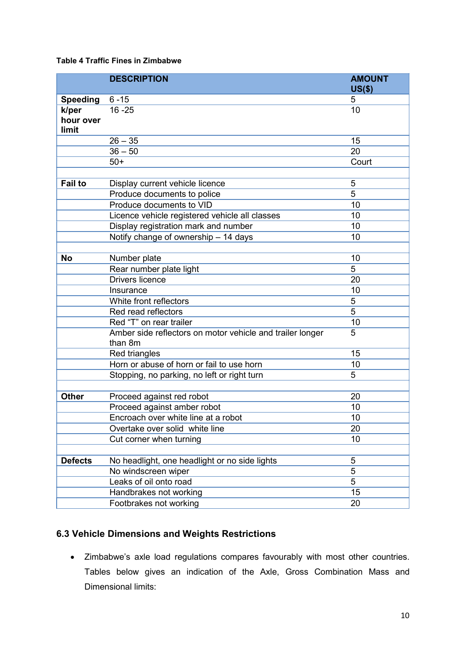## Table 4 Traffic Fines in Zimbabwe

|                    | <b>DESCRIPTION</b>                                                   | <b>AMOUNT</b>  |
|--------------------|----------------------------------------------------------------------|----------------|
|                    |                                                                      | $US($ \$)      |
| <b>Speeding</b>    | $6 - 15$                                                             | 5              |
| k/per<br>hour over | $16 - 25$                                                            | 10             |
| limit              |                                                                      |                |
|                    | $26 - 35$                                                            | 15             |
|                    | $36 - 50$                                                            | 20             |
|                    | $50+$                                                                | Court          |
|                    |                                                                      |                |
| <b>Fail to</b>     | Display current vehicle licence                                      | 5              |
|                    | Produce documents to police                                          | 5              |
|                    | Produce documents to VID                                             | 10             |
|                    | Licence vehicle registered vehicle all classes                       | 10             |
|                    | Display registration mark and number                                 | 10             |
|                    | Notify change of ownership - 14 days                                 | 10             |
|                    |                                                                      |                |
| <b>No</b>          | Number plate                                                         | 10             |
|                    | Rear number plate light                                              | 5              |
|                    | <b>Drivers licence</b>                                               | 20             |
|                    | Insurance                                                            | 10             |
|                    | White front reflectors                                               | 5              |
|                    | Red read reflectors                                                  | 5              |
|                    | Red "T" on rear trailer                                              | 10             |
|                    | Amber side reflectors on motor vehicle and trailer longer<br>than 8m | 5              |
|                    | Red triangles                                                        | 15             |
|                    | Horn or abuse of horn or fail to use horn                            | 10             |
|                    | Stopping, no parking, no left or right turn                          | 5              |
|                    |                                                                      |                |
| <b>Other</b>       | Proceed against red robot                                            | 20             |
|                    | Proceed against amber robot                                          | 10             |
|                    | Encroach over white line at a robot                                  | 10             |
|                    | Overtake over solid white line                                       | 20             |
|                    | Cut corner when turning                                              | 10             |
|                    |                                                                      |                |
| <b>Defects</b>     | No headlight, one headlight or no side lights                        | 5              |
|                    | No windscreen wiper                                                  | 5              |
|                    | Leaks of oil onto road                                               | $\overline{5}$ |
|                    | Handbrakes not working                                               | 15             |
|                    | Footbrakes not working                                               | 20             |

# 6.3 Vehicle Dimensions and Weights Restrictions

 Zimbabwe's axle load regulations compares favourably with most other countries. Tables below gives an indication of the Axle, Gross Combination Mass and Dimensional limits: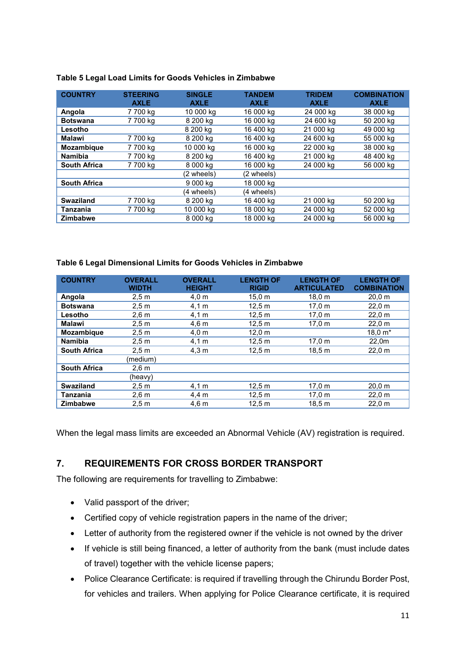#### Table 5 Legal Load Limits for Goods Vehicles in Zimbabwe

| <b>COUNTRY</b>      | <b>STEERING</b><br><b>AXLE</b> | <b>SINGLE</b><br><b>AXLE</b> | <b>TANDEM</b><br><b>AXLE</b> | <b>TRIDEM</b><br><b>AXLE</b> | <b>COMBINATION</b><br><b>AXLE</b> |
|---------------------|--------------------------------|------------------------------|------------------------------|------------------------------|-----------------------------------|
| Angola              | 7 700 kg                       | 10 000 kg                    | 16 000 kg                    | 24 000 kg                    | 38 000 kg                         |
| <b>Botswana</b>     | 7 700 kg                       | 8 200 kg                     | 16 000 kg                    | 24 600 kg                    | 50 200 kg                         |
| Lesotho             |                                | 8 200 kg                     | 16 400 kg                    | 21 000 kg                    | 49 000 kg                         |
| Malawi              | 7 700 ka                       | 8 200 kg                     | 16 400 ka                    | 24 600 kg                    | 55 000 kg                         |
| <b>Mozambique</b>   | 7 700 kg                       | 10 000 kg                    | 16 000 kg                    | 22 000 kg                    | 38 000 kg                         |
| <b>Namibia</b>      | 7 700 kg                       | 8 200 kg                     | 16 400 kg                    | 21 000 kg                    | 48 400 kg                         |
| <b>South Africa</b> | 7 700 kg                       | 8 000 kg                     | 16 000 kg                    | 24 000 kg                    | 56 000 kg                         |
|                     |                                | (2 wheels)                   | (2 wheels)                   |                              |                                   |
| <b>South Africa</b> |                                | 9 000 kg                     | 18 000 kg                    |                              |                                   |
|                     |                                | (4 wheels)                   | (4 wheels)                   |                              |                                   |
| <b>Swaziland</b>    | 7 700 kg                       | 8 200 kg                     | 16 400 kg                    | 21 000 kg                    | 50 200 kg                         |
| Tanzania            | 7 700 kg                       | 10 000 kg                    | 18 000 kg                    | 24 000 kg                    | 52 000 kg                         |
| <b>Zimbabwe</b>     |                                | 8 000 kg                     | 18 000 ka                    | 24 000 kg                    | 56 000 kg                         |

#### Table 6 Legal Dimensional Limits for Goods Vehicles in Zimbabwe

| <b>COUNTRY</b>      | <b>OVERALL</b><br><b>WIDTH</b> | <b>OVERALL</b><br><b>HEIGHT</b> | <b>LENGTH OF</b><br><b>RIGID</b> | <b>LENGTH OF</b><br><b>ARTICULATED</b> | <b>LENGTH OF</b><br><b>COMBINATION</b> |
|---------------------|--------------------------------|---------------------------------|----------------------------------|----------------------------------------|----------------------------------------|
| Angola              | 2.5 m                          | 4.0 m                           | 15.0 m                           | 18.0 m                                 | 20.0 m                                 |
| <b>Botswana</b>     | 2.5 <sub>m</sub>               | 4.1 m                           | 12.5 m                           | 17.0 m                                 | 22.0 m                                 |
| Lesotho             | 2.6 <sub>m</sub>               | 4.1 m                           | 12.5 m                           | 17.0 m                                 | 22.0 m                                 |
| <b>Malawi</b>       | 2.5 m                          | $4,6 \text{ m}$                 | 12.5 m                           | 17.0 m                                 | 22.0 m                                 |
| <b>Mozambique</b>   | 2.5 <sub>m</sub>               | 4.0 m                           | 12.0 m                           |                                        | 18,0 m*                                |
| <b>Namibia</b>      | 2.5 m                          | 4.1 m                           | 12.5 m                           | 17.0 m                                 | 22,0m                                  |
| <b>South Africa</b> | 2.5 <sub>m</sub>               | 4.3 m                           | 12.5 m                           | 18.5 <sub>m</sub>                      | 22.0 m                                 |
|                     | (medium)                       |                                 |                                  |                                        |                                        |
| <b>South Africa</b> | 2.6 m                          |                                 |                                  |                                        |                                        |
|                     | (heavy)                        |                                 |                                  |                                        |                                        |
| <b>Swaziland</b>    | 2.5 <sub>m</sub>               | 4.1 m                           | 12.5 m                           | 17.0 m                                 | 20.0 m                                 |
| Tanzania            | 2.6 m                          | 4.4 m                           | 12.5 m                           | 17.0 m                                 | 22.0 m                                 |
| <b>Zimbabwe</b>     | 2.5 <sub>m</sub>               | $4,6 \text{ m}$                 | 12.5 m                           | 18.5 m                                 | 22.0 m                                 |

When the legal mass limits are exceeded an Abnormal Vehicle (AV) registration is required.

## 7. REQUIREMENTS FOR CROSS BORDER TRANSPORT

The following are requirements for travelling to Zimbabwe:

- Valid passport of the driver:
- Certified copy of vehicle registration papers in the name of the driver;
- Letter of authority from the registered owner if the vehicle is not owned by the driver
- If vehicle is still being financed, a letter of authority from the bank (must include dates of travel) together with the vehicle license papers;
- Police Clearance Certificate: is required if travelling through the Chirundu Border Post, for vehicles and trailers. When applying for Police Clearance certificate, it is required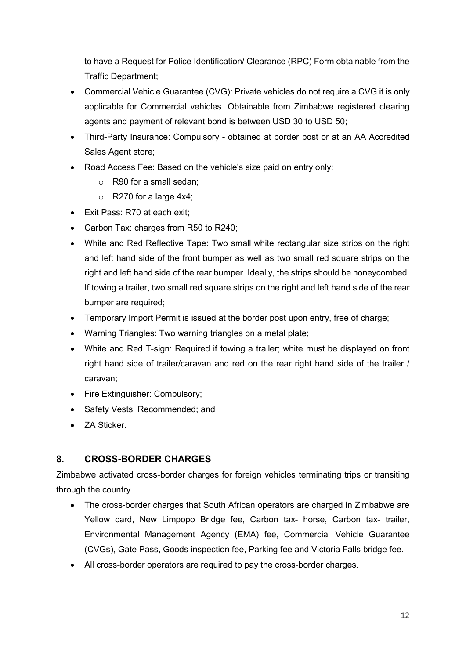to have a Request for Police Identification/ Clearance (RPC) Form obtainable from the Traffic Department;

- Commercial Vehicle Guarantee (CVG): Private vehicles do not require a CVG it is only applicable for Commercial vehicles. Obtainable from Zimbabwe registered clearing agents and payment of relevant bond is between USD 30 to USD 50;
- Third-Party Insurance: Compulsory obtained at border post or at an AA Accredited Sales Agent store;
- Road Access Fee: Based on the vehicle's size paid on entry only:
	- o R90 for a small sedan;
	- $\circ$  R270 for a large 4x4;
- Exit Pass: R70 at each exit:
- Carbon Tax: charges from R50 to R240;
- White and Red Reflective Tape: Two small white rectangular size strips on the right and left hand side of the front bumper as well as two small red square strips on the right and left hand side of the rear bumper. Ideally, the strips should be honeycombed. If towing a trailer, two small red square strips on the right and left hand side of the rear bumper are required;
- Temporary Import Permit is issued at the border post upon entry, free of charge;
- Warning Triangles: Two warning triangles on a metal plate;
- White and Red T-sign: Required if towing a trailer; white must be displayed on front right hand side of trailer/caravan and red on the rear right hand side of the trailer / caravan;
- Fire Extinguisher: Compulsory;
- Safety Vests: Recommended; and
- ZA Sticker.

## 8. CROSS-BORDER CHARGES

Zimbabwe activated cross-border charges for foreign vehicles terminating trips or transiting through the country.

- The cross-border charges that South African operators are charged in Zimbabwe are Yellow card, New Limpopo Bridge fee, Carbon tax- horse, Carbon tax- trailer, Environmental Management Agency (EMA) fee, Commercial Vehicle Guarantee (CVGs), Gate Pass, Goods inspection fee, Parking fee and Victoria Falls bridge fee.
- All cross-border operators are required to pay the cross-border charges.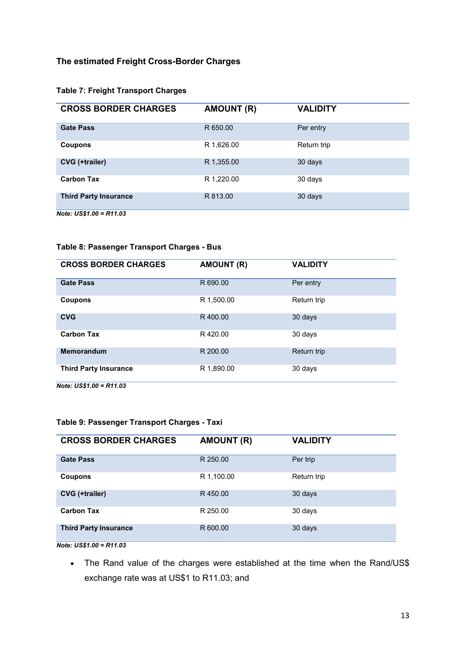### The estimated Freight Cross-Border Charges

### Table 7: Freight Transport Charges

| <b>CROSS BORDER CHARGES</b>  | <b>AMOUNT (R)</b> | <b>VALIDITY</b> |
|------------------------------|-------------------|-----------------|
| <b>Gate Pass</b>             | R 650.00          | Per entry       |
| Coupons                      | R 1,626.00        | Return trip     |
| <b>CVG</b> (+trailer)        | R 1,355.00        | 30 days         |
| <b>Carbon Tax</b>            | R 1,220.00        | 30 days         |
| <b>Third Party Insurance</b> | R 813.00          | 30 days         |
| Note: $US$1.00 = R11.03$     |                   |                 |

## Table 8: Passenger Transport Charges - Bus

| <b>CROSS BORDER CHARGES</b>                                                                                                                                                                                                                                                                                                                                        | <b>AMOUNT (R)</b> | <b>VALIDITY</b> |
|--------------------------------------------------------------------------------------------------------------------------------------------------------------------------------------------------------------------------------------------------------------------------------------------------------------------------------------------------------------------|-------------------|-----------------|
| <b>Gate Pass</b>                                                                                                                                                                                                                                                                                                                                                   | R 690.00          | Per entry       |
| Coupons                                                                                                                                                                                                                                                                                                                                                            | R 1,500.00        | Return trip     |
| <b>CVG</b>                                                                                                                                                                                                                                                                                                                                                         | R400.00           | 30 days         |
| <b>Carbon Tax</b>                                                                                                                                                                                                                                                                                                                                                  | R420.00           | 30 days         |
| Memorandum                                                                                                                                                                                                                                                                                                                                                         | R 200.00          | Return trip     |
| <b>Third Party Insurance</b><br>$\mathbf{a}$ $\mathbf{a}$ $\mathbf{a}$ $\mathbf{a}$ $\mathbf{a}$ $\mathbf{a}$ $\mathbf{a}$ $\mathbf{a}$ $\mathbf{a}$ $\mathbf{a}$ $\mathbf{a}$ $\mathbf{a}$ $\mathbf{a}$ $\mathbf{a}$ $\mathbf{a}$ $\mathbf{a}$ $\mathbf{a}$ $\mathbf{a}$ $\mathbf{a}$ $\mathbf{a}$ $\mathbf{a}$ $\mathbf{a}$ $\mathbf{a}$ $\mathbf{a}$ $\mathbf{$ | R 1,890.00        | 30 days         |

Note: US\$1.00 = R11.03

#### Table 9: Passenger Transport Charges - Taxi

| <b>CROSS BORDER CHARGES</b>  | <b>AMOUNT (R)</b> | <b>VALIDITY</b> |
|------------------------------|-------------------|-----------------|
| <b>Gate Pass</b>             | R 250.00          | Per trip        |
| <b>Coupons</b>               | R 1,100.00        | Return trip     |
| CVG (+trailer)               | R450.00           | 30 days         |
| <b>Carbon Tax</b>            | R 250.00          | 30 days         |
| <b>Third Party Insurance</b> | R 600.00          | 30 days         |
| Note: $US$1.00 = R11.03$     |                   |                 |

 The Rand value of the charges were established at the time when the Rand/US\$ exchange rate was at US\$1 to R11.03; and